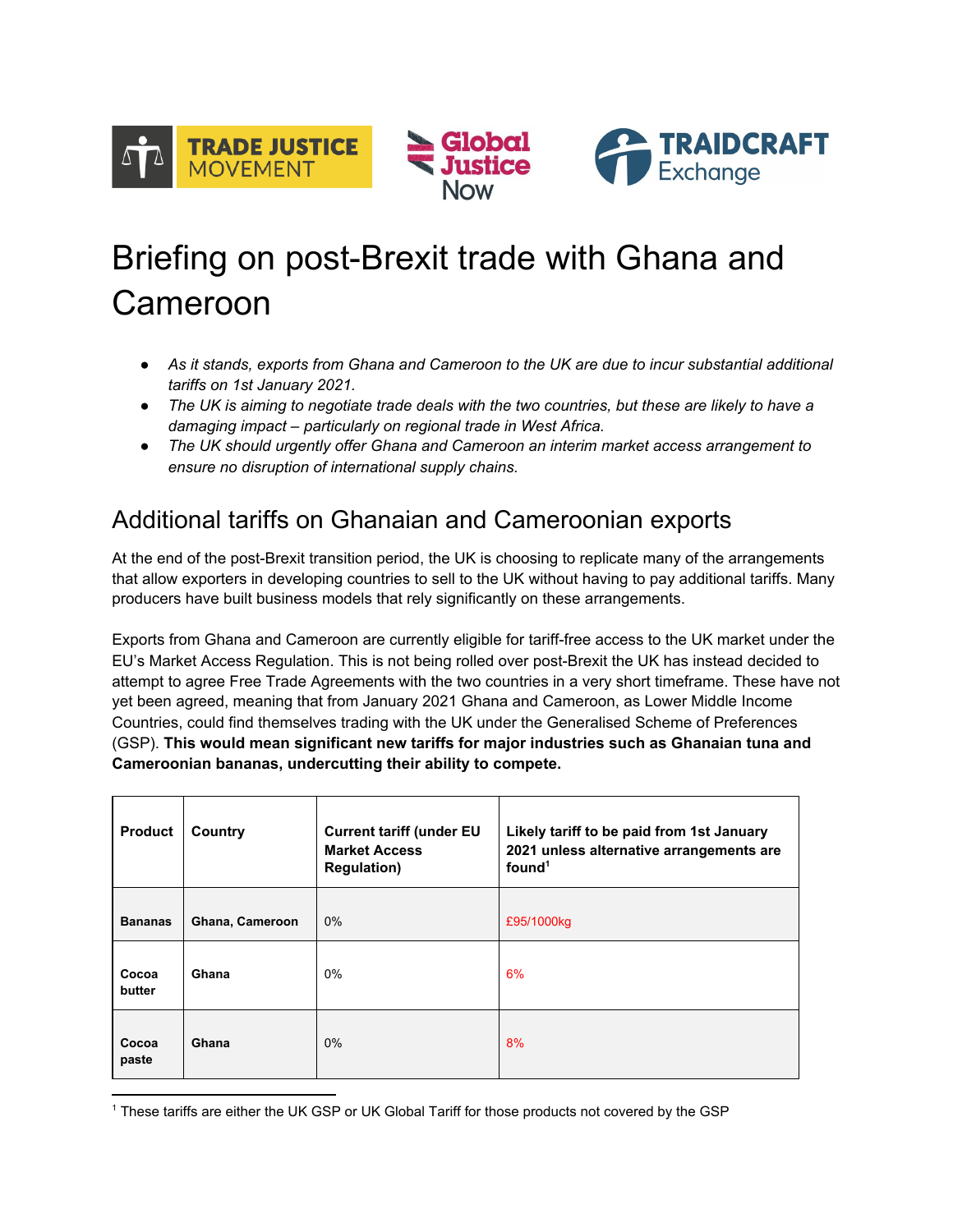

# Briefing on post-Brexit trade with Ghana and Cameroon

- *● As it stands, exports from Ghana and Cameroon to the UK are due to incur substantial additional tariffs on 1st January 2021.*
- The UK is aiming to negotiate trade deals with the two countries, but these are likely to have a *damaging impact – particularly on regional trade in West Africa.*
- *● The UK should urgently offer Ghana and Cameroon an interim market access arrangement to ensure no disruption of international supply chains.*

## Additional tariffs on Ghanaian and Cameroonian exports

At the end of the post-Brexit transition period, the UK is choosing to replicate many of the arrangements that allow exporters in developing countries to sell to the UK without having to pay additional tariffs. Many producers have built business models that rely significantly on these arrangements.

Exports from Ghana and Cameroon are currently eligible for tariff-free access to the UK market under the EU's Market Access Regulation. This is not being rolled over post-Brexit the UK has instead decided to attempt to agree Free Trade Agreements with the two countries in a very short timeframe. These have not yet been agreed, meaning that from January 2021 Ghana and Cameroon, as Lower Middle Income Countries, could find themselves trading with the UK under the Generalised Scheme of Preferences (GSP). **This would mean significant new tariffs for major industries such as Ghanaian tuna and Cameroonian bananas, undercutting their ability to compete.**

| <b>Product</b>  | Country         | <b>Current tariff (under EU</b><br><b>Market Access</b><br><b>Regulation)</b> | Likely tariff to be paid from 1st January<br>2021 unless alternative arrangements are<br>found <sup>1</sup> |
|-----------------|-----------------|-------------------------------------------------------------------------------|-------------------------------------------------------------------------------------------------------------|
| <b>Bananas</b>  | Ghana, Cameroon | $0\%$                                                                         | £95/1000kg                                                                                                  |
| Cocoa<br>butter | Ghana           | $0\%$                                                                         | 6%                                                                                                          |
| Cocoa<br>paste  | Ghana           | $0\%$                                                                         | 8%                                                                                                          |

<sup>1</sup> These tariffs are either the UK GSP or UK Global Tariff for those products not covered by the GSP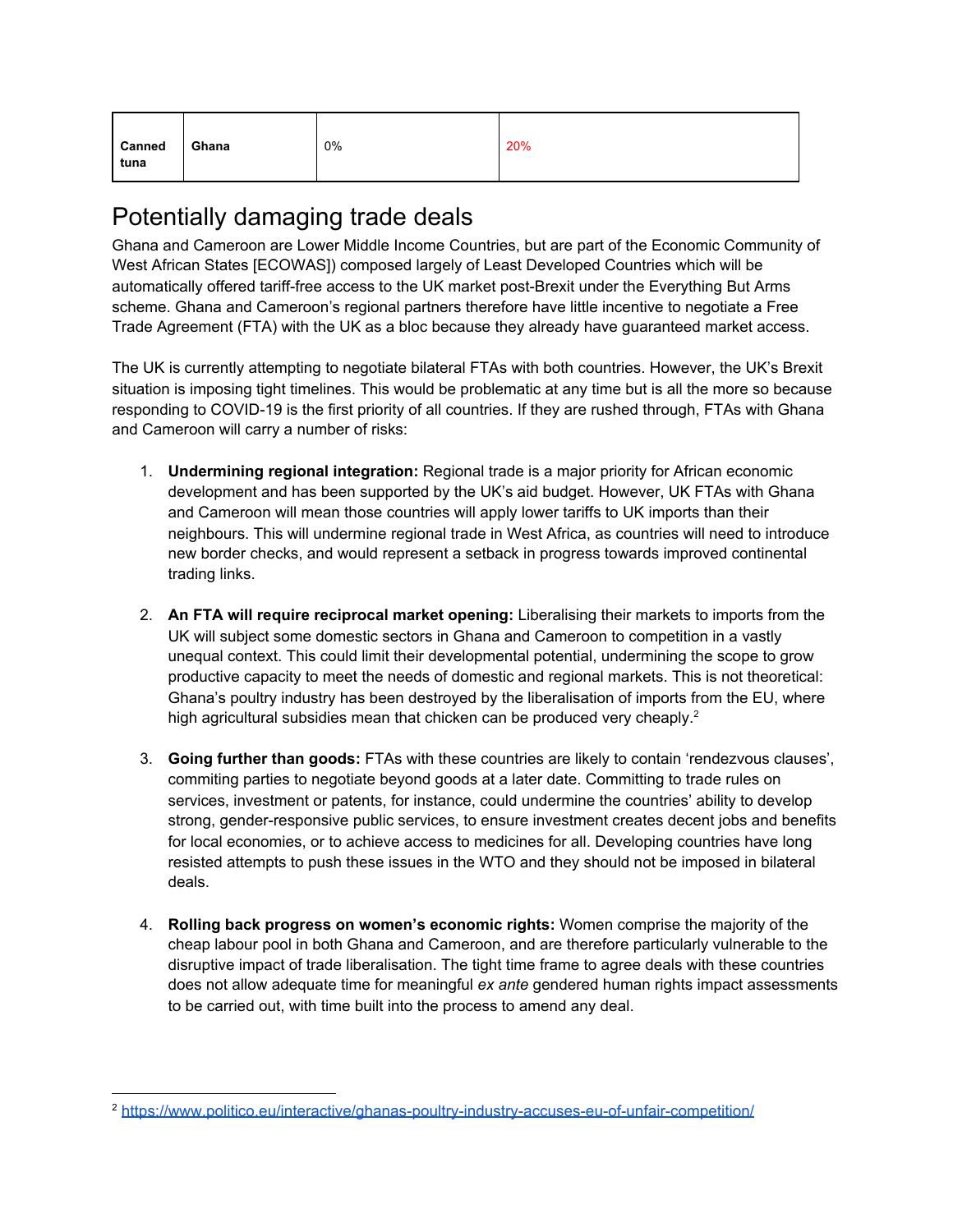| Canned<br>tuna | Ghana | 0% | 20% |
|----------------|-------|----|-----|
|----------------|-------|----|-----|

### Potentially damaging trade deals

Ghana and Cameroon are Lower Middle Income Countries, but are part of the Economic Community of West African States [ECOWAS]) composed largely of Least Developed Countries which will be automatically offered tariff-free access to the UK market post-Brexit under the Everything But Arms scheme. Ghana and Cameroon's regional partners therefore have little incentive to negotiate a Free Trade Agreement (FTA) with the UK as a bloc because they already have guaranteed market access.

The UK is currently attempting to negotiate bilateral FTAs with both countries. However, the UK's Brexit situation is imposing tight timelines. This would be problematic at any time but is all the more so because responding to COVID-19 is the first priority of all countries. If they are rushed through, FTAs with Ghana and Cameroon will carry a number of risks:

- 1. **Undermining regional integration:** Regional trade is a major priority for African economic development and has been supported by the UK's aid budget. However, UK FTAs with Ghana and Cameroon will mean those countries will apply lower tariffs to UK imports than their neighbours. This will undermine regional trade in West Africa, as countries will need to introduce new border checks, and would represent a setback in progress towards improved continental trading links.
- 2. **An FTA will require reciprocal market opening:** Liberalising their markets to imports from the UK will subject some domestic sectors in Ghana and Cameroon to competition in a vastly unequal context. This could limit their developmental potential, undermining the scope to grow productive capacity to meet the needs of domestic and regional markets. This is not theoretical: Ghana's poultry industry has been destroyed by the liberalisation of imports from the EU, where high agricultural subsidies mean that chicken can be produced very cheaply.<sup>2</sup>
- 3. **Going further than goods:** FTAs with these countries are likely to contain 'rendezvous clauses', commiting parties to negotiate beyond goods at a later date. Committing to trade rules on services, investment or patents, for instance, could undermine the countries' ability to develop strong, gender-responsive public services, to ensure investment creates decent jobs and benefits for local economies, or to achieve access to medicines for all. Developing countries have long resisted attempts to push these issues in the WTO and they should not be imposed in bilateral deals.
- 4. **Rolling back progress on women's economic rights:** Women comprise the majority of the cheap labour pool in both Ghana and Cameroon, and are therefore particularly vulnerable to the disruptive impact of trade liberalisation. The tight time frame to agree deals with these countries does not allow adequate time for meaningful *ex ante* gendered human rights impact assessments to be carried out, with time built into the process to amend any deal.

<sup>2</sup> <https://www.politico.eu/interactive/ghanas-poultry-industry-accuses-eu-of-unfair-competition/>